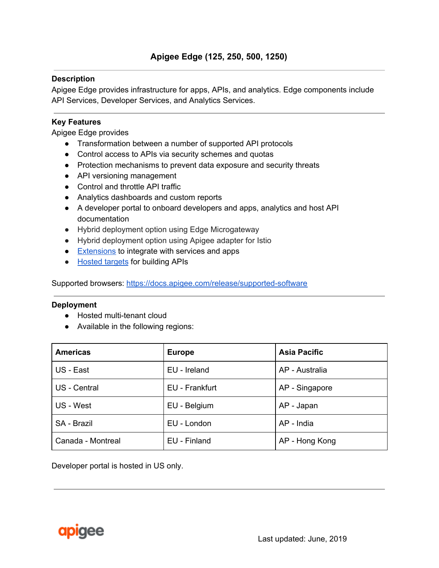### **Description**

Apigee Edge provides infrastructure for apps, APIs, and analytics. Edge components include API Services, Developer Services, and Analytics Services.

### **Key Features**

Apigee Edge provides

- Transformation between a number of supported API protocols
- Control access to APIs via security schemes and quotas
- Protection mechanisms to prevent data exposure and security threats
- API versioning management
- Control and throttle API traffic
- Analytics dashboards and custom reports
- A developer portal to onboard developers and apps, analytics and host API documentation
- Hybrid deployment option using Edge Microgateway
- Hybrid deployment option using Apigee adapter for Istio
- [Extensions](https://docs.apigee.com/api-platform/extensions/extensions-overview) to integrate with services and apps
- [Hosted](https://docs.apigee.com/api-platform/hosted-targets/hosted-targets-overview) targets for building APIs

Supported browsers: <https://docs.apigee.com/release/supported-software>

#### **Deployment**

- Hosted multi-tenant cloud
- Available in the following regions:

| <b>Americas</b>   | <b>Asia Pacific</b><br><b>Europe</b> |                |
|-------------------|--------------------------------------|----------------|
| US - East         | EU - Ireland                         | AP - Australia |
| US - Central      | EU - Frankfurt                       | AP - Singapore |
| US - West         | EU - Belgium                         | AP - Japan     |
| SA - Brazil       | EU - London                          | AP - India     |
| Canada - Montreal | EU - Finland                         | AP - Hong Kong |

Developer portal is hosted in US only.

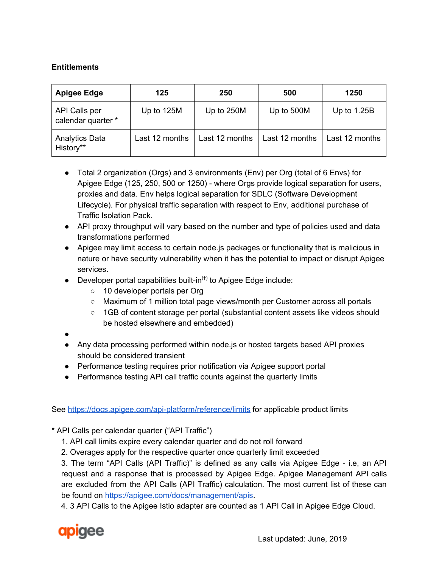# **Entitlements**

| <b>Apigee Edge</b>                  | 125            | 250            | 500            | 1250           |
|-------------------------------------|----------------|----------------|----------------|----------------|
| API Calls per<br>calendar quarter * | Up to 125M     | Up to 250M     | Up to 500M     | Up to $1.25B$  |
| <b>Analytics Data</b><br>History**  | Last 12 months | Last 12 months | Last 12 months | Last 12 months |

- Total 2 organization (Orgs) and 3 environments (Env) per Org (total of 6 Envs) for Apigee Edge (125, 250, 500 or 1250) - where Orgs provide logical separation for users, proxies and data. Env helps logical separation for SDLC (Software Development Lifecycle). For physical traffic separation with respect to Env, additional purchase of Traffic Isolation Pack.
- API proxy throughput will vary based on the number and type of policies used and data transformations performed
- Apigee may limit access to certain node.js packages or functionality that is malicious in nature or have security vulnerability when it has the potential to impact or disrupt Apigee services.
- $\bullet$  Developer portal capabilities built-in<sup>(t)</sup> to Apigee Edge include:
	- 10 developer portals per Org
	- Maximum of 1 million total page views/month per Customer across all portals
	- 1GB of content storage per portal (substantial content assets like videos should be hosted elsewhere and embedded)
- ●
- Any data processing performed within node.js or hosted targets based API proxies should be considered transient
- Performance testing requires prior notification via Apigee support portal
- Performance testing API call traffic counts against the quarterly limits

See <https://docs.apigee.com/api-platform/reference/limits> for applicable product limits

\* API Calls per calendar quarter ("API Traffic")

- 1. API call limits expire every calendar quarter and do not roll forward
- 2. Overages apply for the respective quarter once quarterly limit exceeded

3. The term "API Calls (API Traffic)" is defined as any calls via Apigee Edge - i.e, an API request and a response that is processed by Apigee Edge. Apigee Management API calls are excluded from the API Calls (API Traffic) calculation. The most current list of these can be found on <https://apigee.com/docs/management/apis>.

4. 3 API Calls to the Apigee Istio adapter are counted as 1 API Call in Apigee Edge Cloud.

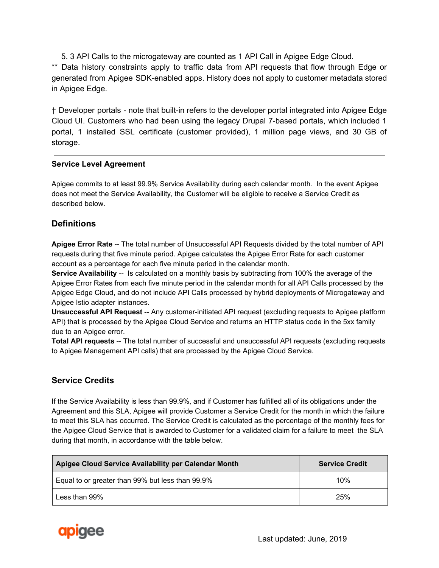5. 3 API Calls to the microgateway are counted as 1 API Call in Apigee Edge Cloud.

\*\* Data history constraints apply to traffic data from API requests that flow through Edge or generated from Apigee SDK-enabled apps. History does not apply to customer metadata stored in Apigee Edge.

† Developer portals - note that built-in refers to the developer portal integrated into Apigee Edge Cloud UI. Customers who had been using the legacy Drupal 7-based portals, which included 1 portal, 1 installed SSL certificate (customer provided), 1 million page views, and 30 GB of storage.

#### **Service Level Agreement**

Apigee commits to at least 99.9% Service Availability during each calendar month. In the event Apigee does not meet the Service Availability, the Customer will be eligible to receive a Service Credit as described below.

# **Definitions**

**Apigee Error Rate** -- The total number of Unsuccessful API Requests divided by the total number of API requests during that five minute period. Apigee calculates the Apigee Error Rate for each customer account as a percentage for each five minute period in the calendar month.

**Service Availability** -- Is calculated on a monthly basis by subtracting from 100% the average of the Apigee Error Rates from each five minute period in the calendar month for all API Calls processed by the Apigee Edge Cloud, and do not include API Calls processed by hybrid deployments of Microgateway and Apigee Istio adapter instances.

**Unsuccessful API Request** -- Any customer-initiated API request (excluding requests to Apigee platform API) that is processed by the Apigee Cloud Service and returns an HTTP status code in the 5xx family due to an Apigee error.

**Total API requests** -- The total number of successful and unsuccessful API requests (excluding requests to Apigee Management API calls) that are processed by the Apigee Cloud Service.

# **Service Credits**

If the Service Availability is less than 99.9%, and if Customer has fulfilled all of its obligations under the Agreement and this SLA, Apigee will provide Customer a Service Credit for the month in which the failure to meet this SLA has occurred. The Service Credit is calculated as the percentage of the monthly fees for the Apigee Cloud Service that is awarded to Customer for a validated claim for a failure to meet the SLA during that month, in accordance with the table below.

| Apigee Cloud Service Availability per Calendar Month | <b>Service Credit</b> |
|------------------------------------------------------|-----------------------|
| Equal to or greater than 99% but less than 99.9%     | 10%                   |
| Less than 99%                                        | 25%                   |